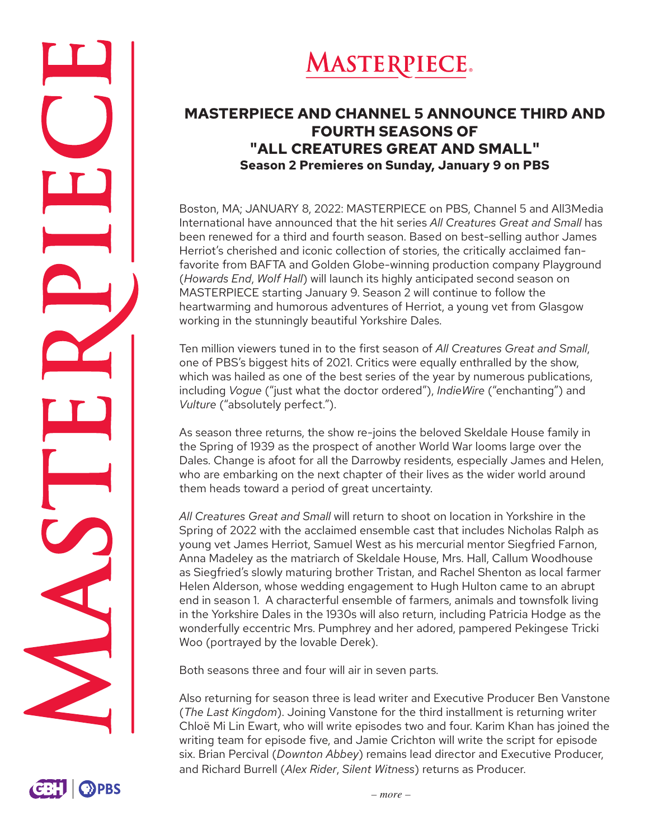

# **MASTERPIECE.**

## **MASTERPIECE AND CHANNEL 5 ANNOUNCE THIRD AND FOURTH SEASONS OF "ALL CREATURES GREAT AND SMALL" Season 2 Premieres on Sunday, January 9 on PBS**

Boston, MA; JANUARY 8, 2022: MASTERPIECE on PBS, Channel 5 and All3Media International have announced that the hit series *All Creatures Great and Small* has been renewed for a third and fourth season. Based on best-selling author James Herriot's cherished and iconic collection of stories, the critically acclaimed fanfavorite from BAFTA and Golden Globe-winning production company Playground (*Howards End*, *Wolf Hall*) will launch its highly anticipated second season on MASTERPIECE starting January 9. Season 2 will continue to follow the heartwarming and humorous adventures of Herriot, a young vet from Glasgow working in the stunningly beautiful Yorkshire Dales.

Ten million viewers tuned in to the first season of *All Creatures Great and Small*, one of PBS's biggest hits of 2021. Critics were equally enthralled by the show, which was hailed as one of the best series of the year by numerous publications, including *Vogue* ("just what the doctor ordered"), *IndieWire* ("enchanting") and *Vulture* ("absolutely perfect.").

As season three returns, the show re-joins the beloved Skeldale House family in the Spring of 1939 as the prospect of another World War looms large over the Dales. Change is afoot for all the Darrowby residents, especially James and Helen, who are embarking on the next chapter of their lives as the wider world around them heads toward a period of great uncertainty.

*All Creatures Great and Small* will return to shoot on location in Yorkshire in the Spring of 2022 with the acclaimed ensemble cast that includes Nicholas Ralph as young vet James Herriot, Samuel West as his mercurial mentor Siegfried Farnon, Anna Madeley as the matriarch of Skeldale House, Mrs. Hall, Callum Woodhouse as Siegfried's slowly maturing brother Tristan, and Rachel Shenton as local farmer Helen Alderson, whose wedding engagement to Hugh Hulton came to an abrupt end in season 1. A characterful ensemble of farmers, animals and townsfolk living in the Yorkshire Dales in the 1930s will also return, including Patricia Hodge as the wonderfully eccentric Mrs. Pumphrey and her adored, pampered Pekingese Tricki Woo (portrayed by the lovable Derek).

Both seasons three and four will air in seven parts.

Also returning for season three is lead writer and Executive Producer Ben Vanstone (*The Last Kingdom*). Joining Vanstone for the third installment is returning writer Chloë Mi Lin Ewart, who will write episodes two and four. Karim Khan has joined the writing team for episode five, and Jamie Crichton will write the script for episode six. Brian Percival (*Downton Abbey*) remains lead director and Executive Producer, and Richard Burrell (*Alex Rider*, *Silent Witness*) returns as Producer.

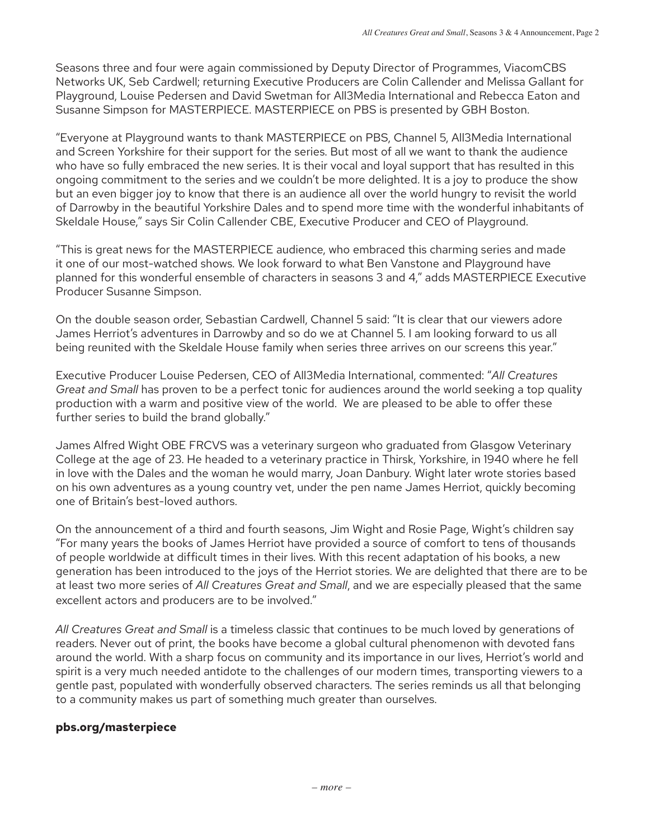Seasons three and four were again commissioned by Deputy Director of Programmes, ViacomCBS Networks UK, Seb Cardwell; returning Executive Producers are Colin Callender and Melissa Gallant for Playground, Louise Pedersen and David Swetman for All3Media International and Rebecca Eaton and Susanne Simpson for MASTERPIECE. MASTERPIECE on PBS is presented by GBH Boston.

"Everyone at Playground wants to thank MASTERPIECE on PBS, Channel 5, All3Media International and Screen Yorkshire for their support for the series. But most of all we want to thank the audience who have so fully embraced the new series. It is their vocal and loyal support that has resulted in this ongoing commitment to the series and we couldn't be more delighted. It is a joy to produce the show but an even bigger joy to know that there is an audience all over the world hungry to revisit the world of Darrowby in the beautiful Yorkshire Dales and to spend more time with the wonderful inhabitants of Skeldale House," says Sir Colin Callender CBE, Executive Producer and CEO of Playground.

"This is great news for the MASTERPIECE audience, who embraced this charming series and made it one of our most-watched shows. We look forward to what Ben Vanstone and Playground have planned for this wonderful ensemble of characters in seasons 3 and 4," adds MASTERPIECE Executive Producer Susanne Simpson.

On the double season order, Sebastian Cardwell, Channel 5 said: "It is clear that our viewers adore James Herriot's adventures in Darrowby and so do we at Channel 5. I am looking forward to us all being reunited with the Skeldale House family when series three arrives on our screens this year."

Executive Producer Louise Pedersen, CEO of All3Media International, commented: "*All Creatures Great and Small* has proven to be a perfect tonic for audiences around the world seeking a top quality production with a warm and positive view of the world. We are pleased to be able to offer these further series to build the brand globally."

James Alfred Wight OBE FRCVS was a veterinary surgeon who graduated from Glasgow Veterinary College at the age of 23. He headed to a veterinary practice in Thirsk, Yorkshire, in 1940 where he fell in love with the Dales and the woman he would marry, Joan Danbury. Wight later wrote stories based on his own adventures as a young country vet, under the pen name James Herriot, quickly becoming one of Britain's best-loved authors.

On the announcement of a third and fourth seasons, Jim Wight and Rosie Page, Wight's children say "For many years the books of James Herriot have provided a source of comfort to tens of thousands of people worldwide at difficult times in their lives. With this recent adaptation of his books, a new generation has been introduced to the joys of the Herriot stories. We are delighted that there are to be at least two more series of *All Creatures Great and Small*, and we are especially pleased that the same excellent actors and producers are to be involved."

*All Creatures Great and Small* is a timeless classic that continues to be much loved by generations of readers. Never out of print, the books have become a global cultural phenomenon with devoted fans around the world. With a sharp focus on community and its importance in our lives, Herriot's world and spirit is a very much needed antidote to the challenges of our modern times, transporting viewers to a gentle past, populated with wonderfully observed characters. The series reminds us all that belonging to a community makes us part of something much greater than ourselves.

### **pbs.org/masterpiece**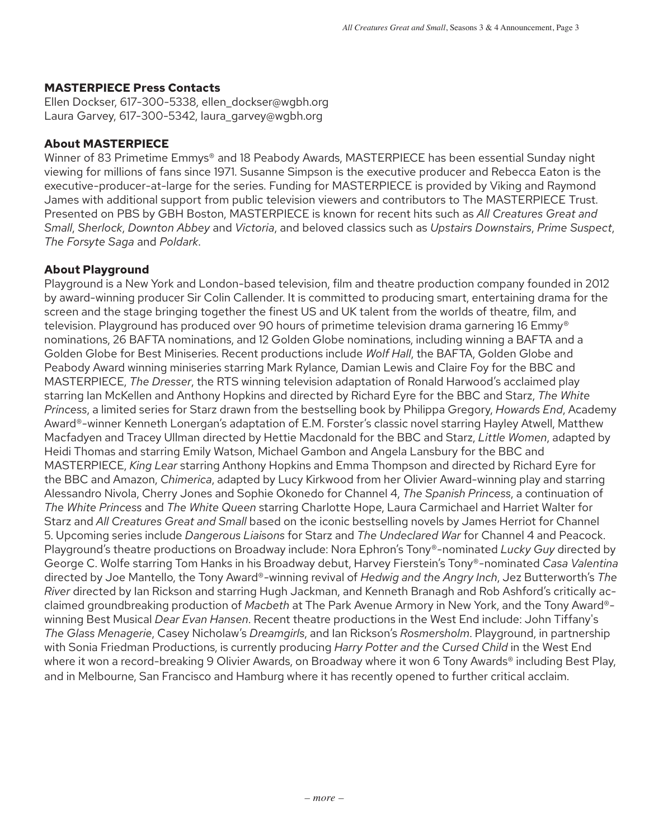#### **MASTERPIECE Press Contacts**

Ellen Dockser, 617-300-5338, ellen\_dockser@wgbh.org Laura Garvey, 617-300-5342, laura\_garvey@wgbh.org

#### **About MASTERPIECE**

Winner of 83 Primetime Emmys® and 18 Peabody Awards, MASTERPIECE has been essential Sunday night viewing for millions of fans since 1971. Susanne Simpson is the executive producer and Rebecca Eaton is the executive-producer-at-large for the series. Funding for MASTERPIECE is provided by Viking and Raymond James with additional support from public television viewers and contributors to The MASTERPIECE Trust. Presented on PBS by GBH Boston, MASTERPIECE is known for recent hits such as *All Creatures Great and Small*, *Sherlock*, *Downton Abbey* and *Victoria*, and beloved classics such as *Upstairs Downstairs*, *Prime Suspect*, *The Forsyte Saga* and *Poldark*.

#### **About Playground**

Playground is a New York and London-based television, film and theatre production company founded in 2012 by award-winning producer Sir Colin Callender. It is committed to producing smart, entertaining drama for the screen and the stage bringing together the finest US and UK talent from the worlds of theatre, film, and television. Playground has produced over 90 hours of primetime television drama garnering 16 Emmy® nominations, 26 BAFTA nominations, and 12 Golden Globe nominations, including winning a BAFTA and a Golden Globe for Best Miniseries. Recent productions include *Wolf Hall*, the BAFTA, Golden Globe and Peabody Award winning miniseries starring Mark Rylance, Damian Lewis and Claire Foy for the BBC and MASTERPIECE, *The Dresser*, the RTS winning television adaptation of Ronald Harwood's acclaimed play starring Ian McKellen and Anthony Hopkins and directed by Richard Eyre for the BBC and Starz, *The White Princess*, a limited series for Starz drawn from the bestselling book by Philippa Gregory, *Howards End*, Academy Award®-winner Kenneth Lonergan's adaptation of E.M. Forster's classic novel starring Hayley Atwell, Matthew Macfadyen and Tracey Ullman directed by Hettie Macdonald for the BBC and Starz, *Little Women*, adapted by Heidi Thomas and starring Emily Watson, Michael Gambon and Angela Lansbury for the BBC and MASTERPIECE, *King Lear* starring Anthony Hopkins and Emma Thompson and directed by Richard Eyre for the BBC and Amazon, *Chimerica*, adapted by Lucy Kirkwood from her Olivier Award-winning play and starring Alessandro Nivola, Cherry Jones and Sophie Okonedo for Channel 4, *The Spanish Princess*, a continuation of *The White Princess* and *The White Queen* starring Charlotte Hope, Laura Carmichael and Harriet Walter for Starz and *All Creatures Great and Small* based on the iconic bestselling novels by James Herriot for Channel 5. Upcoming series include *Dangerous Liaisons* for Starz and *The Undeclared War* for Channel 4 and Peacock. Playground's theatre productions on Broadway include: Nora Ephron's Tony®-nominated *Lucky Guy* directed by George C. Wolfe starring Tom Hanks in his Broadway debut, Harvey Fierstein's Tony®-nominated *Casa Valentina* directed by Joe Mantello, the Tony Award®-winning revival of *Hedwig and the Angry Inch*, Jez Butterworth's *The River* directed by Ian Rickson and starring Hugh Jackman, and Kenneth Branagh and Rob Ashford's critically acclaimed groundbreaking production of *Macbeth* at The Park Avenue Armory in New York, and the Tony Award® winning Best Musical *Dear Evan Hansen*. Recent theatre productions in the West End include: John Tiffany's *The Glass Menagerie*, Casey Nicholaw's *Dreamgirls*, and Ian Rickson's *Rosmersholm*. Playground, in partnership with Sonia Friedman Productions, is currently producing *Harry Potter and the Cursed Child* in the West End where it won a record-breaking 9 Olivier Awards, on Broadway where it won 6 Tony Awards<sup>®</sup> including Best Play, and in Melbourne, San Francisco and Hamburg where it has recently opened to further critical acclaim.